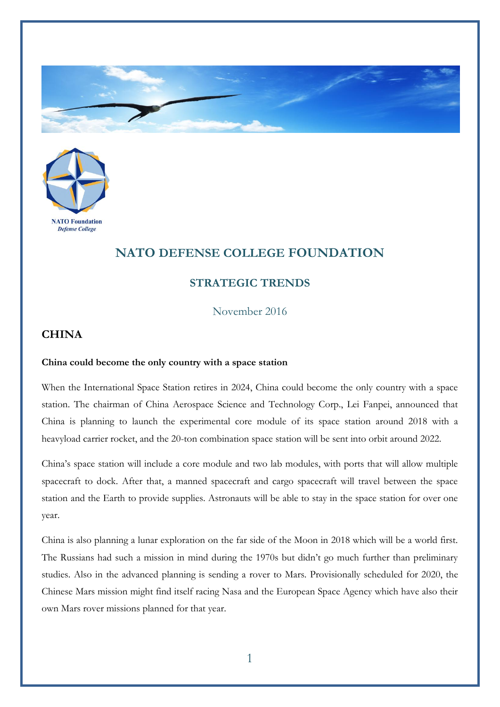



## **NATO DEFENSE COLLEGE FOUNDATION**

## **STRATEGIC TRENDS**

November 2016

## **CHINA**

## **China could become the only country with a space station**

When the International Space Station retires in 2024, China could become the only country with a space station. The chairman of China Aerospace Science and Technology Corp., Lei Fanpei, announced that China is planning to launch the experimental core module of its space station around 2018 with a heavyload carrier rocket, and the 20-ton combination space station will be sent into orbit around 2022.

China's space station will include a core module and two lab modules, with ports that will allow multiple spacecraft to dock. After that, a manned spacecraft and cargo spacecraft will travel between the space station and the Earth to provide supplies. Astronauts will be able to stay in the space station for over one year.

China is also planning a lunar exploration on the far side of the Moon in 2018 which will be a world first. The Russians had such a mission in mind during the 1970s but didn't go much further than preliminary studies. Also in the advanced planning is sending a rover to Mars. Provisionally scheduled for 2020, the Chinese Mars mission might find itself racing Nasa and the European Space Agency which have also their own Mars rover missions planned for that year.